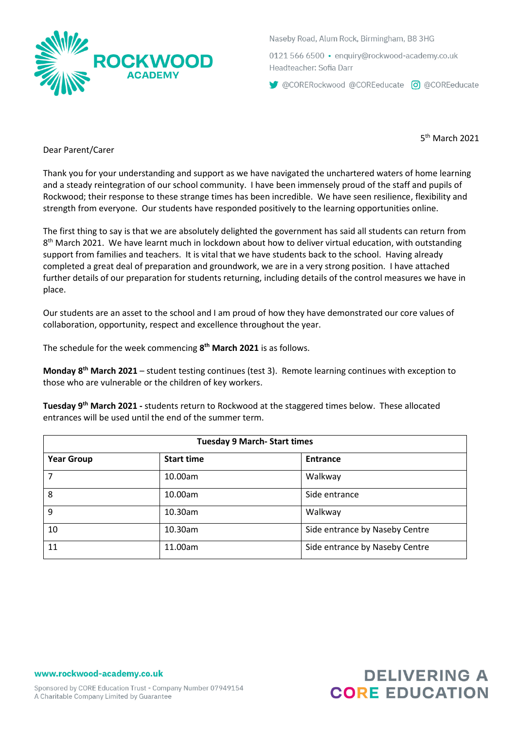

Naseby Road, Alum Rock, Birmingham, B8 3HG

0121 566 6500 · enguiry@rockwood-academy.co.uk Headteacher: Sofia Darr

CORERockwood @COREeducate 0 @COREeducate

5 th March 2021

Dear Parent/Carer

Thank you for your understanding and support as we have navigated the unchartered waters of home learning and a steady reintegration of our school community. I have been immensely proud of the staff and pupils of Rockwood; their response to these strange times has been incredible. We have seen resilience, flexibility and strength from everyone. Our students have responded positively to the learning opportunities online.

The first thing to say is that we are absolutely delighted the government has said all students can return from 8<sup>th</sup> March 2021. We have learnt much in lockdown about how to deliver virtual education, with outstanding support from families and teachers. It is vital that we have students back to the school. Having already completed a great deal of preparation and groundwork, we are in a very strong position. I have attached further details of our preparation for students returning, including details of the control measures we have in place.

Our students are an asset to the school and I am proud of how they have demonstrated our core values of collaboration, opportunity, respect and excellence throughout the year.

The schedule for the week commencing **8 th March 2021** is as follows.

**Monday 8th March 2021** – student testing continues (test 3). Remote learning continues with exception to those who are vulnerable or the children of key workers.

**Tuesday 9th March 2021 -** students return to Rockwood at the staggered times below. These allocated entrances will be used until the end of the summer term.

| <b>Tuesday 9 March- Start times</b> |                   |                                |  |
|-------------------------------------|-------------------|--------------------------------|--|
| <b>Year Group</b>                   | <b>Start time</b> | <b>Entrance</b>                |  |
|                                     | 10.00am           | Walkway                        |  |
| 8                                   | 10.00am           | Side entrance                  |  |
| 9                                   | 10.30am           | Walkway                        |  |
| 10                                  | 10.30am           | Side entrance by Naseby Centre |  |
| 11                                  | 11.00am           | Side entrance by Naseby Centre |  |

www.rockwood-academy.co.uk

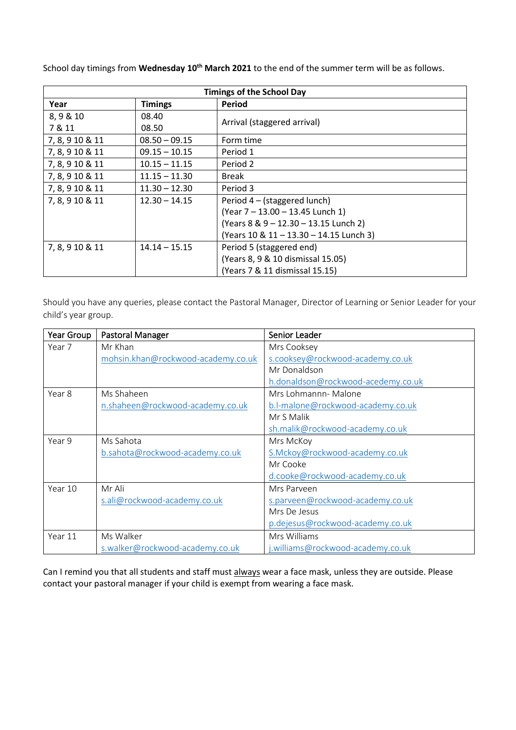School day timings from **Wednesday 10th March 2021** to the end of the summer term will be as follows.

| <b>Timings of the School Day</b> |                 |                                         |  |
|----------------------------------|-----------------|-----------------------------------------|--|
| Year                             | <b>Timings</b>  | Period                                  |  |
| 8, 9 & 10                        | 08.40           |                                         |  |
| 7 & 11                           | 08.50           | Arrival (staggered arrival)             |  |
| 7, 8, 9 10 & 11                  | $08.50 - 09.15$ | Form time                               |  |
| 7, 8, 9 10 & 11                  | $09.15 - 10.15$ | Period 1                                |  |
| 7, 8, 9 10 & 11                  | $10.15 - 11.15$ | Period 2                                |  |
| 7, 8, 9 10 & 11                  | $11.15 - 11.30$ | <b>Break</b>                            |  |
| 7, 8, 9 10 & 11                  | $11.30 - 12.30$ | Period 3                                |  |
| 7, 8, 9 10 & 11                  | $12.30 - 14.15$ | Period 4 – (staggered lunch)            |  |
|                                  |                 | (Year 7 - 13.00 - 13.45 Lunch 1)        |  |
|                                  |                 | (Years 8 & 9 - 12.30 - 13.15 Lunch 2)   |  |
|                                  |                 | (Years 10 & 11 - 13.30 - 14.15 Lunch 3) |  |
| 7, 8, 9 10 & 11                  | $14.14 - 15.15$ | Period 5 (staggered end)                |  |
|                                  |                 | (Years 8, 9 & 10 dismissal 15.05)       |  |
|                                  |                 | (Years 7 & 11 dismissal 15.15)          |  |

Should you have any queries, please contact the Pastoral Manager, Director of Learning or Senior Leader for your child's year group.

| Year Group | Pastoral Manager                   | Senior Leader                      |
|------------|------------------------------------|------------------------------------|
| Year 7     | Mr Khan                            | Mrs Cooksey                        |
|            | mohsin.khan@rockwood-academy.co.uk | s.cooksey@rockwood-academy.co.uk   |
|            |                                    | Mr Donaldson                       |
|            |                                    | h.donaldson@rockwood-acedemy.co.uk |
| Year 8     | Ms Shaheen                         | Mrs Lohmannn- Malone               |
|            | n.shaheen@rockwood-academy.co.uk   | b.l-malone@rockwood-academy.co.uk  |
|            |                                    | Mr S Malik                         |
|            |                                    | sh.malik@rockwood-academy.co.uk    |
| Year 9     | Ms Sahota                          | Mrs McKoy                          |
|            | b.sahota@rockwood-academy.co.uk    | S.Mckoy@rockwood-academy.co.uk     |
|            |                                    | Mr Cooke                           |
|            |                                    | d.cooke@rockwood-academy.co.uk     |
| Year 10    | Mr Ali                             | Mrs Parveen                        |
|            | s.ali@rockwood-academy.co.uk       | s.parveen@rockwood-academy.co.uk   |
|            |                                    | Mrs De Jesus                       |
|            |                                    | p.dejesus@rockwood-academy.co.uk   |
| Year 11    | Ms Walker                          | Mrs Williams                       |
|            | s.walker@rockwood-academy.co.uk    | j.williams@rockwood-academy.co.uk  |

Can I remind you that all students and staff must always wear a face mask, unless they are outside. Please contact your pastoral manager if your child is exempt from wearing a face mask.